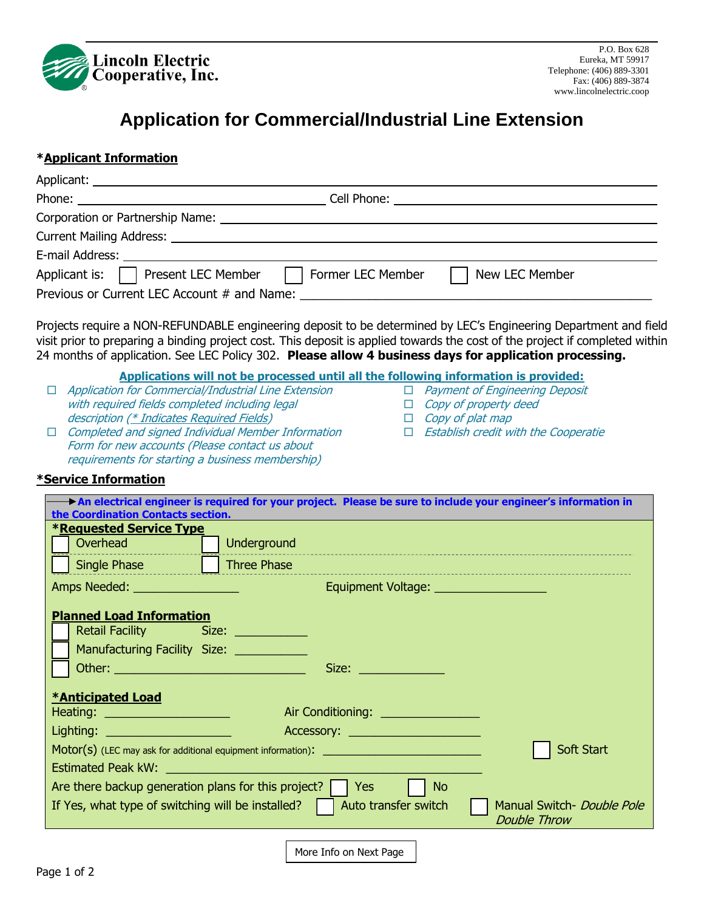

# **Application for Commercial/Industrial Line Extension**

## **\*Applicant Information**

| Applicant is: $\Box$ Present LEC Member     | Former LEC Member | New LEC Member |  |  |  |
|---------------------------------------------|-------------------|----------------|--|--|--|
| Previous or Current LEC Account # and Name: |                   |                |  |  |  |

Projects require a NON-REFUNDABLE engineering deposit to be determined by LEC's Engineering Department and field visit prior to preparing a binding project cost. This deposit is applied towards the cost of the project if completed within 24 months of application. See LEC Policy 302. **Please allow 4 business days for application processing.**

#### **Applications will not be processed until all the following information is provided:**

□ Payment of Engineering Deposit

 $\Box$  Establish credit with the Cooperatie

 $\Box$  Copy of property deed  $\Box$  Copy of plat map

- $\Box$  Application for Commercial/Industrial Line Extension with required fields completed including legal description (\* Indicates Required Fields)
- $\Box$  Completed and signed Individual Member Information Form for new accounts (Please contact us about requirements for starting a business membership)

### **\*Service Information**

| An electrical engineer is required for your project. Please be sure to include your engineer's information in<br>the Coordination Contacts section.                                                     |                                |                                        |  |  |  |
|---------------------------------------------------------------------------------------------------------------------------------------------------------------------------------------------------------|--------------------------------|----------------------------------------|--|--|--|
| <b>*Requested Service Type</b>                                                                                                                                                                          |                                |                                        |  |  |  |
|                                                                                                                                                                                                         | Overhead                       | Underground                            |  |  |  |
|                                                                                                                                                                                                         | Single Phase                   | Three Phase                            |  |  |  |
|                                                                                                                                                                                                         | Amps Needed: _________________ | Equipment Voltage: ___________________ |  |  |  |
| <b>Planned Load Information</b><br>Retail Facility Size: Size:<br>Manufacturing Facility Size: ___________                                                                                              |                                |                                        |  |  |  |
|                                                                                                                                                                                                         |                                | Size:                                  |  |  |  |
| <b>*Anticipated Load</b><br>Air Conditioning: <u>_______________</u><br>Heating: ______________________                                                                                                 |                                |                                        |  |  |  |
| Lighting: ______________________                                                                                                                                                                        |                                |                                        |  |  |  |
| Accessory: <u>_____________________</u><br>Soft Start<br>Estimated Peak kW:                                                                                                                             |                                |                                        |  |  |  |
| Are there backup generation plans for this project?<br>Yes<br>N <sub>o</sub><br>If Yes, what type of switching will be installed?<br>Auto transfer switch<br>Manual Switch- Double Pole<br>Double Throw |                                |                                        |  |  |  |
|                                                                                                                                                                                                         |                                |                                        |  |  |  |

More Info on Next Page